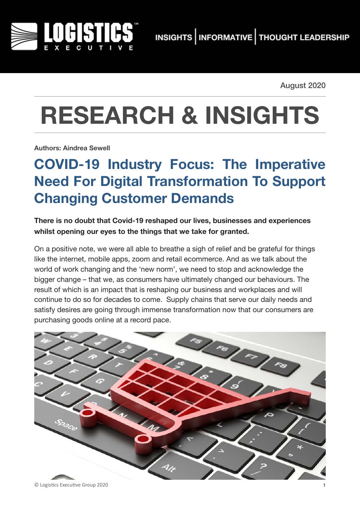

August 2020

# **RESEARCH & INSIGHTS**

**Authors: Aindrea Sewell**

## **COVID-19 Industry Focus: The Imperative Need For Digital Transformation To Support Changing Customer Demands**

**There is no doubt that Covid-19 reshaped our lives, businesses and experiences whilst opening our eyes to the things that we take for granted.** 

On a positive note, we were all able to breathe a sigh of relief and be grateful for things like the internet, mobile apps, zoom and retail ecommerce. And as we talk about the world of work changing and the 'new norm', we need to stop and acknowledge the bigger change – that we, as consumers have ultimately changed our behaviours. The result of which is an impact that is reshaping our business and workplaces and will continue to do so for decades to come. Supply chains that serve our daily needs and satisfy desires are going through immense transformation now that our consumers are purchasing goods online at a record pace.

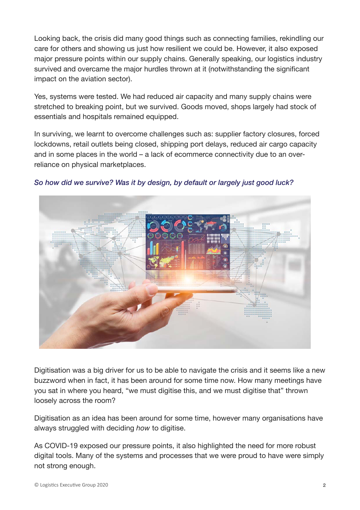Looking back, the crisis did many good things such as connecting families, rekindling our care for others and showing us just how resilient we could be. However, it also exposed major pressure points within our supply chains. Generally speaking, our logistics industry survived and overcame the major hurdles thrown at it (notwithstanding the significant impact on the aviation sector).

Yes, systems were tested. We had reduced air capacity and many supply chains were stretched to breaking point, but we survived. Goods moved, shops largely had stock of essentials and hospitals remained equipped.

In surviving, we learnt to overcome challenges such as: supplier factory closures, forced lockdowns, retail outlets being closed, shipping port delays, reduced air cargo capacity and in some places in the world – a lack of ecommerce connectivity due to an overreliance on physical marketplaces.



*So how did we survive? Was it by design, by default or largely just good luck?* 

Digitisation was a big driver for us to be able to navigate the crisis and it seems like a new buzzword when in fact, it has been around for some time now. How many meetings have you sat in where you heard, "we must digitise this, and we must digitise that" thrown loosely across the room?

Digitisation as an idea has been around for some time, however many organisations have always struggled with deciding *how* to digitise.

As COVID-19 exposed our pressure points, it also highlighted the need for more robust digital tools. Many of the systems and processes that we were proud to have were simply not strong enough.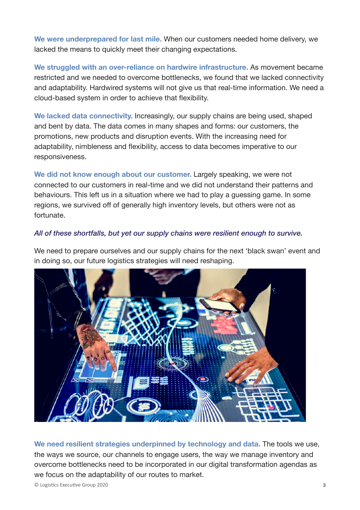**We were underprepared for last mile.** When our customers needed home delivery, we lacked the means to quickly meet their changing expectations.

**We struggled with an over-reliance on hardwire infrastructure.** As movement became restricted and we needed to overcome bottlenecks, we found that we lacked connectivity and adaptability. Hardwired systems will not give us that real-time information. We need a cloud-based system in order to achieve that flexibility.

**We lacked data connectivity.** Increasingly, our supply chains are being used, shaped and bent by data. The data comes in many shapes and forms: our customers, the promotions, new products and disruption events. With the increasing need for adaptability, nimbleness and flexibility, access to data becomes imperative to our responsiveness.

**We did not know enough about our customer.** Largely speaking, we were not connected to our customers in real-time and we did not understand their patterns and behaviours. This left us in a situation where we had to play a guessing game. In some regions, we survived off of generally high inventory levels, but others were not as fortunate.

#### *All of these shortfalls, but yet our supply chains were resilient enough to survive.*

We need to prepare ourselves and our supply chains for the next 'black swan' event and in doing so, our future logistics strategies will need reshaping.



**We need resilient strategies underpinned by technology and data.** The tools we use, the ways we source, our channels to engage users, the way we manage inventory and overcome bottlenecks need to be incorporated in our digital transformation agendas as we focus on the adaptability of our routes to market.

© Logis(cs Execu(ve Group 2020 **3**